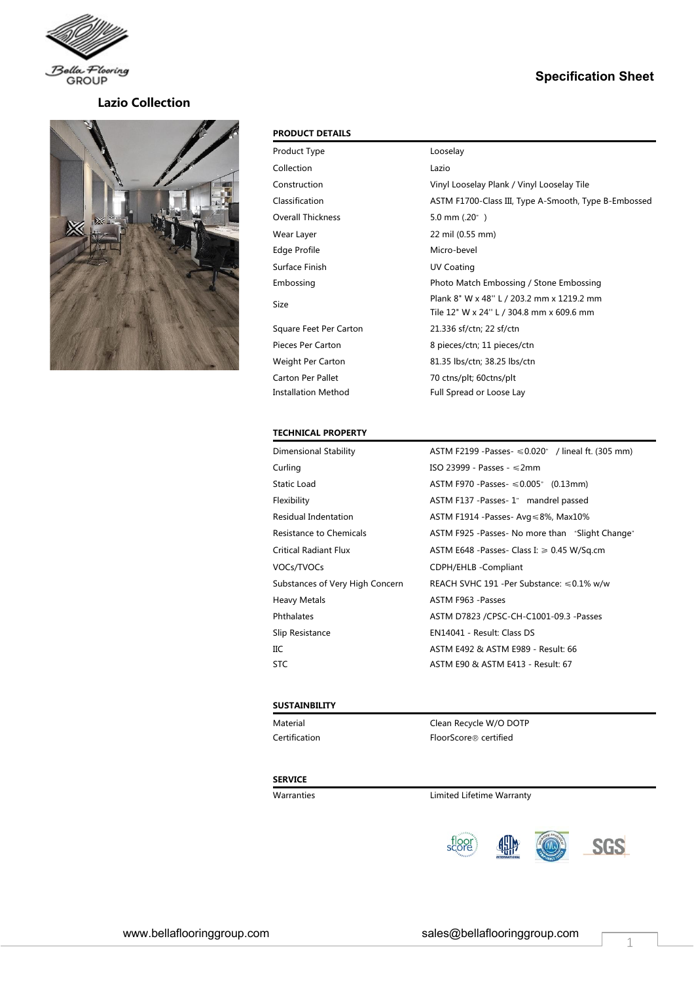

## **Lazio Collection**



## **PRODUCT DETAILS**

| Product Type             | Looselay                                             |
|--------------------------|------------------------------------------------------|
| Collection               | Lazio                                                |
| Construction             | Vinyl Looselay Plank / Vinyl Looselay Tile           |
| Classification           | ASTM F1700-Class III, Type A-Smooth, Type B-Embossed |
| Overall Thickness        | 5.0 mm $(.20)$ <sup>"</sup> )                        |
| Wear Layer               | 22 mil (0.55 mm)                                     |
| Edge Profile             | Micro-bevel                                          |
| Surface Finish           | <b>UV Coating</b>                                    |
| Embossing                | Photo Match Embossing / Stone Embossing              |
| Size                     | Plank 8" W x 48" L / 203.2 mm x 1219.2 mm            |
|                          | Tile 12" W x 24" L / 304.8 mm x 609.6 mm             |
| Square Feet Per Carton   | 21.336 sf/ctn; 22 sf/ctn                             |
| <b>Pieces Per Carton</b> | 8 pieces/ctn; 11 pieces/ctn                          |
| Weight Per Carton        | 81.35 lbs/ctn; 38.25 lbs/ctn                         |
| Carton Per Pallet        | 70 ctns/plt; 60ctns/plt                              |
| Installation Method      | Full Spread or Loose Lay                             |
|                          |                                                      |

**Specification Sheet**

#### **TECHNICAL PROPERTY**

| <b>Dimensional Stability</b>    | ASTM F2199 - Passes $\leq 0.020$ " / lineal ft. (305 mm) |
|---------------------------------|----------------------------------------------------------|
| Curling                         | ISO 23999 - Passes - $\leq$ 2mm                          |
| Static Load                     | ASTM F970 - Passes - $\leq 0.005$ " (0.13mm)             |
| Flexibility                     | ASTM F137 -Passes-1" mandrel passed                      |
| Residual Indentation            | ASTM F1914 -Passes-Avg $\leq 8\%$ , Max10%               |
| Resistance to Chemicals         | ASTM F925 - Passes - No more than "Slight Change"        |
| <b>Critical Radiant Flux</b>    | ASTM E648 - Passes - Class I: $\geq 0.45$ W/Sq.cm        |
| VOCs/TVOCs                      | CDPH/EHLB - Compliant                                    |
| Substances of Very High Concern | REACH SVHC 191 -Per Substance: $\leq 0.1\%$ w/w          |
| <b>Heavy Metals</b>             | ASTM F963 - Passes                                       |
| Phthalates                      | ASTM D7823 /CPSC-CH-C1001-09.3 -Passes                   |
| Slip Resistance                 | EN14041 - Result: Class DS                               |
| IIС                             | ASTM E492 & ASTM E989 - Result: 66                       |
| <b>STC</b>                      | ASTM E90 & ASTM E413 - Result: 67                        |

### **SUSTAINBILITY**

Material **Material** Clean Recycle W/O DOTP Certification **FloorScore®** certified

#### **SERVICE**

Warranties Limited Lifetime Warranty